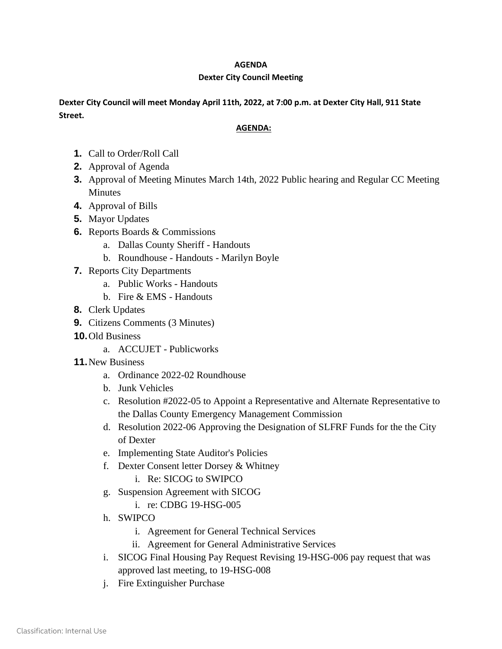## **AGENDA**

## **Dexter City Council Meeting**

**Dexter City Council will meet Monday April 11th, 2022, at 7:00 p.m. at Dexter City Hall, 911 State Street.**

## **AGENDA:**

- **1.** Call to Order/Roll Call
- **2.** Approval of Agenda
- **3.** Approval of Meeting Minutes March 14th, 2022 Public hearing and Regular CC Meeting Minutes
- **4.** Approval of Bills
- **5.** Mayor Updates
- **6.** Reports Boards & Commissions
	- a. Dallas County Sheriff Handouts
	- b. Roundhouse Handouts Marilyn Boyle
- **7.** Reports City Departments
	- a. Public Works Handouts
	- b. Fire & EMS Handouts
- **8.** Clerk Updates
- **9.** Citizens Comments (3 Minutes)
- **10.**Old Business
	- a. ACCUJET Publicworks
- **11.**New Business
	- a. Ordinance 2022-02 Roundhouse
	- b. Junk Vehicles
	- c. Resolution #2022-05 to Appoint a Representative and Alternate Representative to the Dallas County Emergency Management Commission
	- d. Resolution 2022-06 Approving the Designation of SLFRF Funds for the the City of Dexter
	- e. Implementing State Auditor's Policies
	- f. Dexter Consent letter Dorsey & Whitney
		- i. Re: SICOG to SWIPCO
	- g. Suspension Agreement with SICOG
		- i. re: CDBG 19-HSG-005
	- h. SWIPCO
		- i. Agreement for General Technical Services
		- ii. Agreement for General Administrative Services
	- i. SICOG Final Housing Pay Request Revising 19-HSG-006 pay request that was approved last meeting, to 19-HSG-008
	- j. Fire Extinguisher Purchase